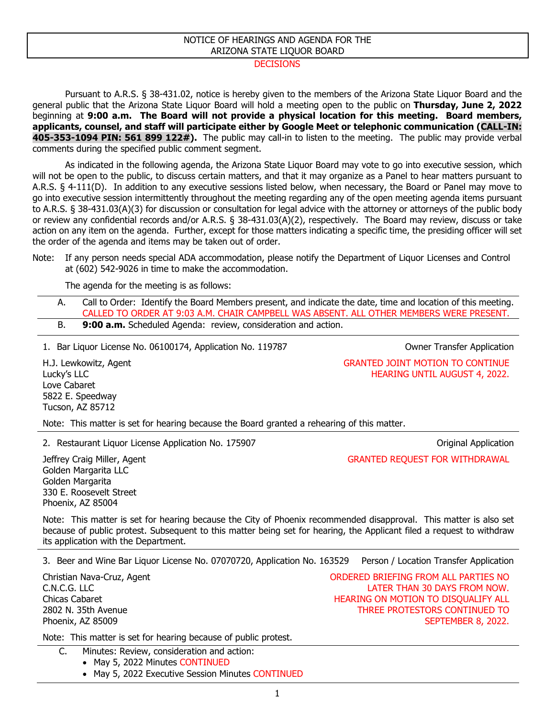## NOTICE OF HEARINGS AND AGENDA FOR THE ARIZONA STATE LIQUOR BOARD

## **DECISIONS**

Pursuant to A.R.S. § 38-431.02, notice is hereby given to the members of the Arizona State Liquor Board and the general public that the Arizona State Liquor Board will hold a meeting open to the public on **Thursday, June 2, 2022** beginning at **9:00 a.m. The Board will not provide a physical location for this meeting. Board members, applicants, counsel, and staff will participate either by Google Meet or telephonic communication (CALL-IN: 405-353-1094 PIN: 561 899 122#).** The public may call-in to listen to the meeting. The public may provide verbal comments during the specified public comment segment.

As indicated in the following agenda, the Arizona State Liquor Board may vote to go into executive session, which will not be open to the public, to discuss certain matters, and that it may organize as a Panel to hear matters pursuant to A.R.S. § 4-111(D). In addition to any executive sessions listed below, when necessary, the Board or Panel may move to go into executive session intermittently throughout the meeting regarding any of the open meeting agenda items pursuant to A.R.S. § 38-431.03(A)(3) for discussion or consultation for legal advice with the attorney or attorneys of the public body or review any confidential records and/or A.R.S. § 38-431.03(A)(2), respectively. The Board may review, discuss or take action on any item on the agenda. Further, except for those matters indicating a specific time, the presiding officer will set the order of the agenda and items may be taken out of order.

The agenda for the meeting is as follows:

A. Call to Order: Identify the Board Members present, and indicate the date, time and location of this meeting. CALLED TO ORDER AT 9:03 A.M. CHAIR CAMPBELL WAS ABSENT. ALL OTHER MEMBERS WERE PRESENT. B. **9:00 a.m.** Scheduled Agenda: review, consideration and action.

1. Bar Liquor License No. 06100174, Application No. 119787 Owner Transfer Application

H.J. Lewkowitz, Agent Lucky's LLC Love Cabaret 5822 E. Speedway Tucson, AZ 85712

Note: This matter is set for hearing because the Board granted a rehearing of this matter.

2. Restaurant Liquor License Application No. 175907 Charles Controller and Muslim Application Charles Controller

GRANTED REQUEST FOR WITHDRAWAL

GRANTED JOINT MOTION TO CONTINUE

HEARING UNTIL AUGUST 4, 2022.

Jeffrey Craig Miller, Agent Golden Margarita LLC Golden Margarita 330 E. Roosevelt Street Phoenix, AZ 85004

Note: This matter is set for hearing because the City of Phoenix recommended disapproval. This matter is also set because of public protest. Subsequent to this matter being set for hearing, the Applicant filed a request to withdraw its application with the Department.

3. Beer and Wine Bar Liquor License No. 07070720, Application No. 163529 Person / Location Transfer Application

Christian Nava-Cruz, Agent C.N.C.G. LLC Chicas Cabaret 2802 N. 35th Avenue Phoenix, AZ 85009

ORDERED BRIEFING FROM ALL PARTIES NO LATER THAN 30 DAYS FROM NOW. HEARING ON MOTION TO DISQUALIFY ALL THREE PROTESTORS CONTINUED TO SEPTEMBER 8, 2022.

Note: This matter is set for hearing because of public protest.

C. Minutes: Review, consideration and action:

- May 5, 2022 Minutes CONTINUED
- May 5, 2022 Executive Session Minutes CONTINUED

Note: If any person needs special ADA accommodation, please notify the Department of Liquor Licenses and Control at (602) 542-9026 in time to make the accommodation.